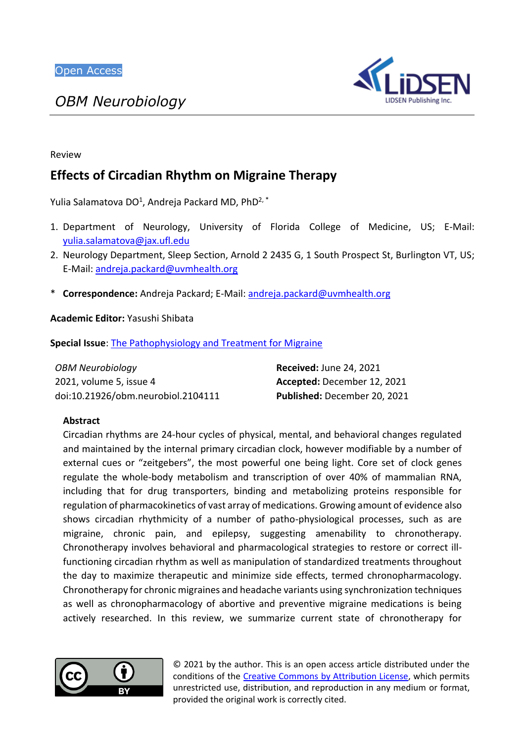*OBM Neurobiology*



# Review

# **Effects of Circadian Rhythm on Migraine Therapy**

Yulia Salamatova DO<sup>1</sup>, Andreja Packard MD, PhD<sup>2, \*</sup>

- 1. Department of Neurology, University of Florida College of Medicine, US; E-Mail: [yulia.salamatova@jax.ufl.edu](mailto:yulia.salamatova@jax.ufl.edu)
- 2. Neurology Department, Sleep Section, Arnold 2 2435 G, 1 South Prospect St, Burlington VT, US; E-Mail: [andreja.packard@uvmhealth.org](mailto:andreja.packard@uvmhealth.org)
- \* **Correspondence:** Andreja Packard; E-Mail: [andreja.packard@uvmhealth.org](mailto:andreja.packard@uvmhealth.org)

**Academic Editor:** Yasushi Shibata

**Special Issue**: [The Pathophysiology and Treatment for Migraine](https://www.lidsen.com/journals/neurobiology/neurobiology-special-issues/Prev-Treat-Migr)

| <b>OBM Neurobiology</b>            | <b>Received: June 24, 2021</b> |
|------------------------------------|--------------------------------|
| 2021, volume 5, issue 4            | Accepted: December 12, 2021    |
| doi:10.21926/obm.neurobiol.2104111 | Published: December 20, 2021   |

### **Abstract**

Circadian rhythms are 24-hour cycles of physical, mental, and behavioral changes regulated and maintained by the internal primary circadian clock, however modifiable by a number of external cues or "zeitgebers", the most powerful one being light. Core set of clock genes regulate the whole-body metabolism and transcription of over 40% of mammalian RNA, including that for drug transporters, binding and metabolizing proteins responsible for regulation of pharmacokinetics of vast array of medications. Growing amount of evidence also shows circadian rhythmicity of a number of patho-physiological processes, such as are migraine, chronic pain, and epilepsy, suggesting amenability to chronotherapy. Chronotherapy involves behavioral and pharmacological strategies to restore or correct illfunctioning circadian rhythm as well as manipulation of standardized treatments throughout the day to maximize therapeutic and minimize side effects, termed chronopharmacology. Chronotherapy for chronic migraines and headache variants using synchronization techniques as well as chronopharmacology of abortive and preventive migraine medications is being actively researched. In this review, we summarize current state of chronotherapy for



© 2021 by the author. This is an open access article distributed under the conditions of the [Creative Commons by Attribution License,](http://creativecommons.org/licenses/by/4.0/) which permits unrestricted use, distribution, and reproduction in any medium or format, provided the original work is correctly cited.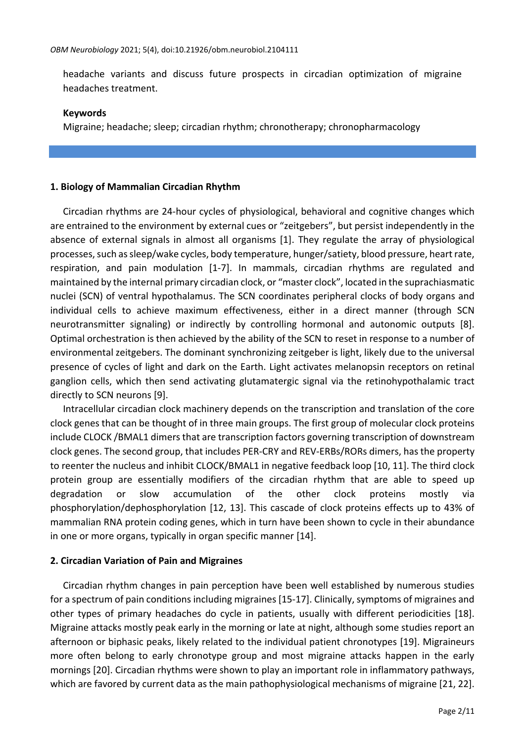headache variants and discuss future prospects in circadian optimization of migraine headaches treatment.

### **Keywords**

Migraine; headache; sleep; circadian rhythm; chronotherapy; chronopharmacology

# **1. Biology of Mammalian Circadian Rhythm**

Circadian rhythms are 24-hour cycles of physiological, behavioral and cognitive changes which are entrained to the environment by external cues or "zeitgebers", but persist independently in the absence of external signals in almost all organisms [1]. They regulate the array of physiological processes, such as sleep/wake cycles, body temperature, hunger/satiety, blood pressure, heart rate, respiration, and pain modulation [1-7]. In mammals, circadian rhythms are regulated and maintained by the internal primary circadian clock, or "master clock", located in the suprachiasmatic nuclei (SCN) of ventral hypothalamus. The SCN coordinates peripheral clocks of body organs and individual cells to achieve maximum effectiveness, either in a direct manner (through SCN neurotransmitter signaling) or indirectly by controlling hormonal and autonomic outputs [8]. Optimal orchestration is then achieved by the ability of the SCN to reset in response to a number of environmental zeitgebers. The dominant synchronizing zeitgeber is light, likely due to the universal presence of cycles of light and dark on the Earth. Light activates melanopsin receptors on retinal ganglion cells, which then send activating glutamatergic signal via the retinohypothalamic tract directly to SCN neurons [9].

Intracellular circadian clock machinery depends on the transcription and translation of the core clock genes that can be thought of in three main groups. The first group of molecular clock proteins include CLOCK /BMAL1 dimers that are transcription factors governing transcription of downstream clock genes. The second group, that includes PER-CRY and REV-ERBs/RORs dimers, has the property to reenter the nucleus and inhibit CLOCK/BMAL1 in negative feedback loop [10, 11]. The third clock protein group are essentially modifiers of the circadian rhythm that are able to speed up degradation or slow accumulation of the other clock proteins mostly via phosphorylation/dephosphorylation [12, 13]. This cascade of clock proteins effects up to 43% of mammalian RNA protein coding genes, which in turn have been shown to cycle in their abundance in one or more organs, typically in organ specific manner [14].

# **2. Circadian Variation of Pain and Migraines**

Circadian rhythm changes in pain perception have been well established by numerous studies for a spectrum of pain conditions including migraines [15-17]. Clinically, symptoms of migraines and other types of primary headaches do cycle in patients, usually with different periodicities [18]. Migraine attacks mostly peak early in the morning or late at night, although some studies report an afternoon or biphasic peaks, likely related to the individual patient chronotypes [19]. Migraineurs more often belong to early chronotype group and most migraine attacks happen in the early mornings [20]. Circadian rhythms were shown to play an important role in inflammatory pathways, which are favored by current data as the main pathophysiological mechanisms of migraine [21, 22].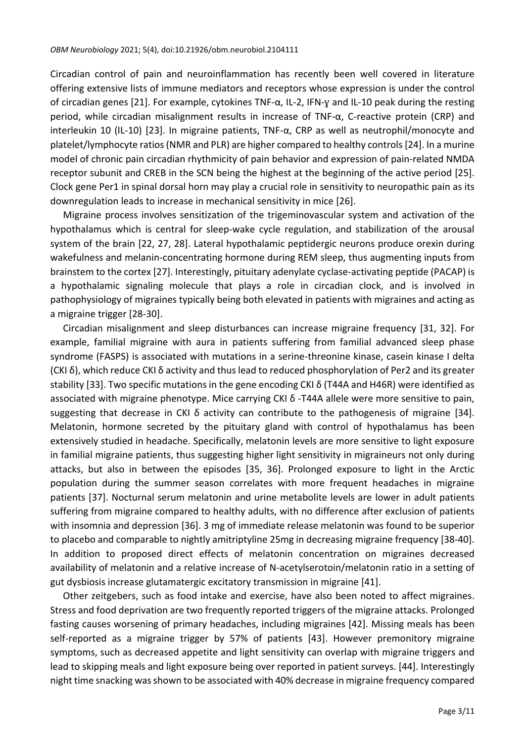Circadian control of pain and neuroinflammation has recently been well covered in literature offering extensive lists of immune mediators and receptors whose expression is under the control of circadian genes [21]. For example, cytokines TNF-α, IL-2, IFN-ɣ and IL-10 peak during the resting period, while circadian misalignment results in increase of TNF-α, C-reactive protein (CRP) and interleukin 10 (IL-10) [23]. In migraine patients, TNF-α, CRP as well as neutrophil/monocyte and platelet/lymphocyte ratios (NMR and PLR) are higher compared to healthy controls [24]. In a murine model of chronic pain circadian rhythmicity of pain behavior and expression of pain-related NMDA receptor subunit and CREB in the SCN being the highest at the beginning of the active period [25]. Clock gene Per1 in spinal dorsal horn may play a crucial role in sensitivity to neuropathic pain as its downregulation leads to increase in mechanical sensitivity in mice [26].

Migraine process involves sensitization of the trigeminovascular system and activation of the hypothalamus which is central for sleep-wake cycle regulation, and stabilization of the arousal system of the brain [22, 27, 28]. Lateral hypothalamic peptidergic neurons produce orexin during wakefulness and melanin-concentrating hormone during REM sleep, thus augmenting inputs from brainstem to the cortex [27]. Interestingly, pituitary adenylate cyclase-activating peptide (PACAP) is a hypothalamic signaling molecule that plays a role in circadian clock, and is involved in pathophysiology of migraines typically being both elevated in patients with migraines and acting as a migraine trigger [28-30].

Circadian misalignment and sleep disturbances can increase migraine frequency [31, 32]. For example, familial migraine with aura in patients suffering from familial advanced sleep phase syndrome (FASPS) is associated with mutations in a serine-threonine kinase, casein kinase I delta (CKI δ), which reduce CKI δ activity and thus lead to reduced phosphorylation of Per2 and its greater stability [33]. Two specific mutations in the gene encoding CKI δ (T44A and H46R) were identified as associated with migraine phenotype. Mice carrying CKI δ -T44A allele were more sensitive to pain, suggesting that decrease in CKI  $\delta$  activity can contribute to the pathogenesis of migraine [34]. Melatonin, hormone secreted by the pituitary gland with control of hypothalamus has been extensively studied in headache. Specifically, melatonin levels are more sensitive to light exposure in familial migraine patients, thus suggesting higher light sensitivity in migraineurs not only during attacks, but also in between the episodes [35, 36]. Prolonged exposure to light in the Arctic population during the summer season correlates with more frequent headaches in migraine patients [37]. Nocturnal serum melatonin and urine metabolite levels are lower in adult patients suffering from migraine compared to healthy adults, with no difference after exclusion of patients with insomnia and depression [36]. 3 mg of immediate release melatonin was found to be superior to placebo and comparable to nightly amitriptyline 25mg in decreasing migraine frequency [38-40]. In addition to proposed direct effects of melatonin concentration on migraines decreased availability of melatonin and a relative increase of N-acetylserotoin/melatonin ratio in a setting of gut dysbiosis increase glutamatergic excitatory transmission in migraine [41].

Other zeitgebers, such as food intake and exercise, have also been noted to affect migraines. Stress and food deprivation are two frequently reported triggers of the migraine attacks. Prolonged fasting causes worsening of primary headaches, including migraines [42]. Missing meals has been self-reported as a migraine trigger by 57% of patients [43]. However premonitory migraine symptoms, such as decreased appetite and light sensitivity can overlap with migraine triggers and lead to skipping meals and light exposure being over reported in patient surveys. [44]. Interestingly night time snacking was shown to be associated with 40% decrease in migraine frequency compared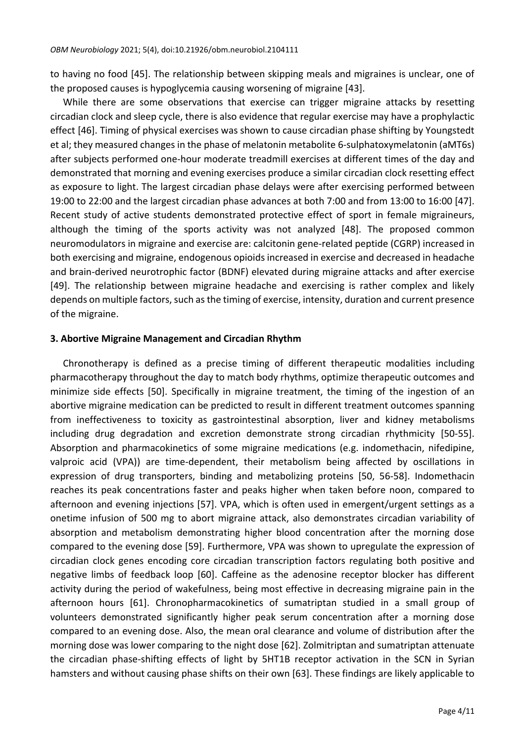to having no food [45]. The relationship between skipping meals and migraines is unclear, one of the proposed causes is hypoglycemia causing worsening of migraine [43].

While there are some observations that exercise can trigger migraine attacks by resetting circadian clock and sleep cycle, there is also evidence that regular exercise may have a prophylactic effect [46]. Timing of physical exercises was shown to cause circadian phase shifting by Youngstedt et al; they measured changes in the phase of melatonin metabolite 6-sulphatoxymelatonin (aMT6s) after subjects performed one-hour moderate treadmill exercises at different times of the day and demonstrated that morning and evening exercises produce a similar circadian clock resetting effect as exposure to light. The largest circadian phase delays were after exercising performed between 19:00 to 22:00 and the largest circadian phase advances at both 7:00 and from 13:00 to 16:00 [47]. Recent study of active students demonstrated protective effect of sport in female migraineurs, although the timing of the sports activity was not analyzed [48]. The proposed common neuromodulators in migraine and exercise are: calcitonin gene-related peptide (CGRP) increased in both exercising and migraine, endogenous opioids increased in exercise and decreased in headache and brain-derived neurotrophic factor (BDNF) elevated during migraine attacks and after exercise [49]. The relationship between migraine headache and exercising is rather complex and likely depends on multiple factors, such as the timing of exercise, intensity, duration and current presence of the migraine.

#### **3. Abortive Migraine Management and Circadian Rhythm**

Chronotherapy is defined as a precise timing of different therapeutic modalities including pharmacotherapy throughout the day to match body rhythms, optimize therapeutic outcomes and minimize side effects [50]. Specifically in migraine treatment, the timing of the ingestion of an abortive migraine medication can be predicted to result in different treatment outcomes spanning from ineffectiveness to toxicity as gastrointestinal absorption, liver and kidney metabolisms including drug degradation and excretion demonstrate strong circadian rhythmicity [50-55]. Absorption and pharmacokinetics of some migraine medications (e.g. indomethacin, nifedipine, valproic acid (VPA)) are time-dependent, their metabolism being affected by oscillations in expression of drug transporters, binding and metabolizing proteins [50, 56-58]. Indomethacin reaches its peak concentrations faster and peaks higher when taken before noon, compared to afternoon and evening injections [57]. VPA, which is often used in emergent/urgent settings as a onetime infusion of 500 mg to abort migraine attack, also demonstrates circadian variability of absorption and metabolism demonstrating higher blood concentration after the morning dose compared to the evening dose [59]. Furthermore, VPA was shown to upregulate the expression of circadian clock genes encoding core circadian transcription factors regulating both positive and negative limbs of feedback loop [60]. Caffeine as the adenosine receptor blocker has different activity during the period of wakefulness, being most effective in decreasing migraine pain in the afternoon hours [61]. Chronopharmacokinetics of sumatriptan studied in a small group of volunteers demonstrated significantly higher peak serum concentration after a morning dose compared to an evening dose. Also, the mean oral clearance and volume of distribution after the morning dose was lower comparing to the night dose [62]. Zolmitriptan and sumatriptan attenuate the circadian phase-shifting effects of light by 5HT1B receptor activation in the SCN in Syrian hamsters and without causing phase shifts on their own [63]. These findings are likely applicable to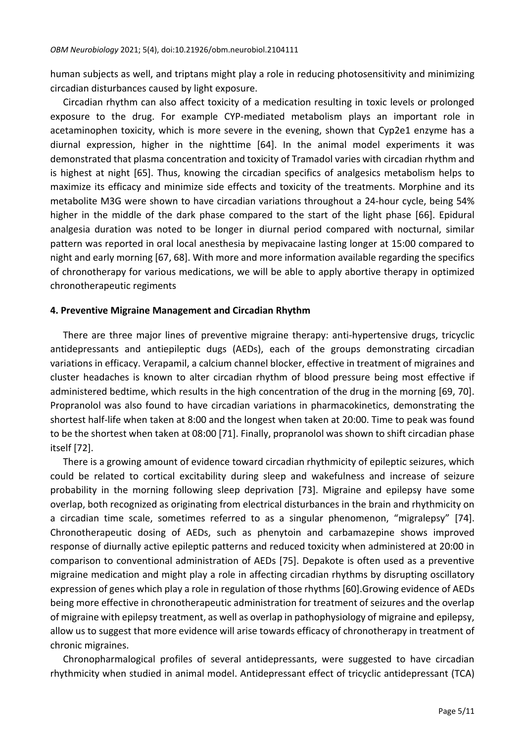human subjects as well, and triptans might play a role in reducing photosensitivity and minimizing circadian disturbances caused by light exposure.

Circadian rhythm can also affect toxicity of a medication resulting in toxic levels or prolonged exposure to the drug. For example CYP-mediated metabolism plays an important role in acetaminophen toxicity, which is more severe in the evening, shown that Cyp2e1 enzyme has a diurnal expression, higher in the nighttime [64]. In the animal model experiments it was demonstrated that plasma concentration and toxicity of Tramadol varies with circadian rhythm and is highest at night [65]. Thus, knowing the circadian specifics of analgesics metabolism helps to maximize its efficacy and minimize side effects and toxicity of the treatments. Morphine and its metabolite M3G were shown to have circadian variations throughout a 24-hour cycle, being 54% higher in the middle of the dark phase compared to the start of the light phase [66]. Epidural analgesia duration was noted to be longer in diurnal period compared with nocturnal, similar pattern was reported in oral local anesthesia by mepivacaine lasting longer at 15:00 compared to night and early morning [67, 68]. With more and more information available regarding the specifics of chronotherapy for various medications, we will be able to apply abortive therapy in optimized chronotherapeutic regiments

# **4. Preventive Migraine Management and Circadian Rhythm**

There are three major lines of preventive migraine therapy: anti-hypertensive drugs, tricyclic antidepressants and antiepileptic dugs (AEDs), each of the groups demonstrating circadian variations in efficacy. Verapamil, a calcium channel blocker, effective in treatment of migraines and cluster headaches is known to alter circadian rhythm of blood pressure being most effective if administered bedtime, which results in the high concentration of the drug in the morning [69, 70]. Propranolol was also found to have circadian variations in pharmacokinetics, demonstrating the shortest half-life when taken at 8:00 and the longest when taken at 20:00. Time to peak was found to be the shortest when taken at 08:00 [71]. Finally, propranolol was shown to shift circadian phase itself [72].

There is a growing amount of evidence toward circadian rhythmicity of epileptic seizures, which could be related to cortical excitability during sleep and wakefulness and increase of seizure probability in the morning following sleep deprivation [73]. Migraine and epilepsy have some overlap, both recognized as originating from electrical disturbances in the brain and rhythmicity on a circadian time scale, sometimes referred to as a singular phenomenon, "migralepsy" [74]. Chronotherapeutic dosing of AEDs, such as phenytoin and carbamazepine shows improved response of diurnally active epileptic patterns and reduced toxicity when administered at 20:00 in comparison to conventional administration of AEDs [75]. Depakote is often used as a preventive migraine medication and might play a role in affecting circadian rhythms by disrupting oscillatory expression of genes which play a role in regulation of those rhythms [60].Growing evidence of AEDs being more effective in chronotherapeutic administration for treatment of seizures and the overlap of migraine with epilepsy treatment, as well as overlap in pathophysiology of migraine and epilepsy, allow us to suggest that more evidence will arise towards efficacy of chronotherapy in treatment of chronic migraines.

Chronopharmalogical profiles of several antidepressants, were suggested to have circadian rhythmicity when studied in animal model. Antidepressant effect of tricyclic antidepressant (TCA)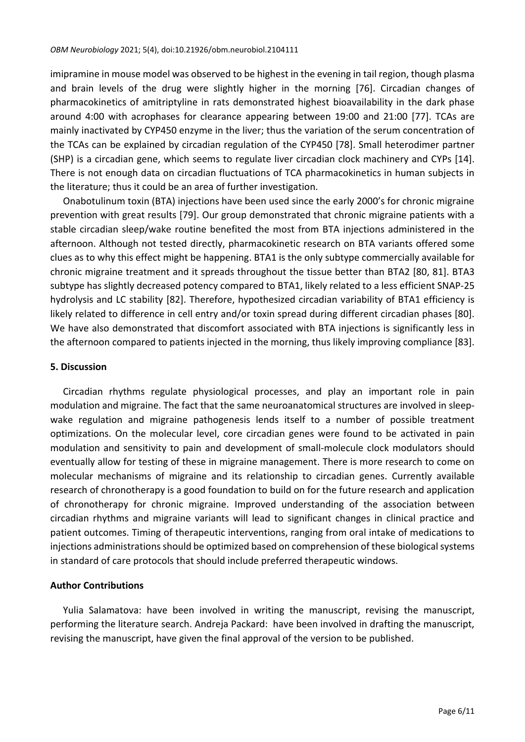imipramine in mouse model was observed to be highest in the evening in tail region, though plasma and brain levels of the drug were slightly higher in the morning [76]. Circadian changes of pharmacokinetics of amitriptyline in rats demonstrated highest bioavailability in the dark phase around 4:00 with acrophases for clearance appearing between 19:00 and 21:00 [77]. TCAs are mainly inactivated by CYP450 enzyme in the liver; thus the variation of the serum concentration of the TCAs can be explained by circadian regulation of the CYP450 [78]. Small heterodimer partner (SHP) is a circadian gene, which seems to regulate liver circadian clock machinery and CYPs [14]. There is not enough data on circadian fluctuations of TCA pharmacokinetics in human subjects in the literature; thus it could be an area of further investigation.

Onabotulinum toxin (BTA) injections have been used since the early 2000's for chronic migraine prevention with great results [79]. Our group demonstrated that chronic migraine patients with a stable circadian sleep/wake routine benefited the most from BTA injections administered in the afternoon. Although not tested directly, pharmacokinetic research on BTA variants offered some clues as to why this effect might be happening. BTA1 is the only subtype commercially available for chronic migraine treatment and it spreads throughout the tissue better than BTA2 [80, 81]. BTA3 subtype has slightly decreased potency compared to BTA1, likely related to a less efficient SNAP-25 hydrolysis and LC stability [82]. Therefore, hypothesized circadian variability of BTA1 efficiency is likely related to difference in cell entry and/or toxin spread during different circadian phases [80]. We have also demonstrated that discomfort associated with BTA injections is significantly less in the afternoon compared to patients injected in the morning, thus likely improving compliance [83].

# **5. Discussion**

Circadian rhythms regulate physiological processes, and play an important role in pain modulation and migraine. The fact that the same neuroanatomical structures are involved in sleepwake regulation and migraine pathogenesis lends itself to a number of possible treatment optimizations. On the molecular level, core circadian genes were found to be activated in pain modulation and sensitivity to pain and development of small-molecule clock modulators should eventually allow for testing of these in migraine management. There is more research to come on molecular mechanisms of migraine and its relationship to circadian genes. Currently available research of chronotherapy is a good foundation to build on for the future research and application of chronotherapy for chronic migraine. Improved understanding of the association between circadian rhythms and migraine variants will lead to significant changes in clinical practice and patient outcomes. Timing of therapeutic interventions, ranging from oral intake of medications to injections administrations should be optimized based on comprehension of these biological systems in standard of care protocols that should include preferred therapeutic windows.

# **Author Contributions**

Yulia Salamatova: have been involved in writing the manuscript, revising the manuscript, performing the literature search. Andreja Packard: have been involved in drafting the manuscript, revising the manuscript, have given the final approval of the version to be published.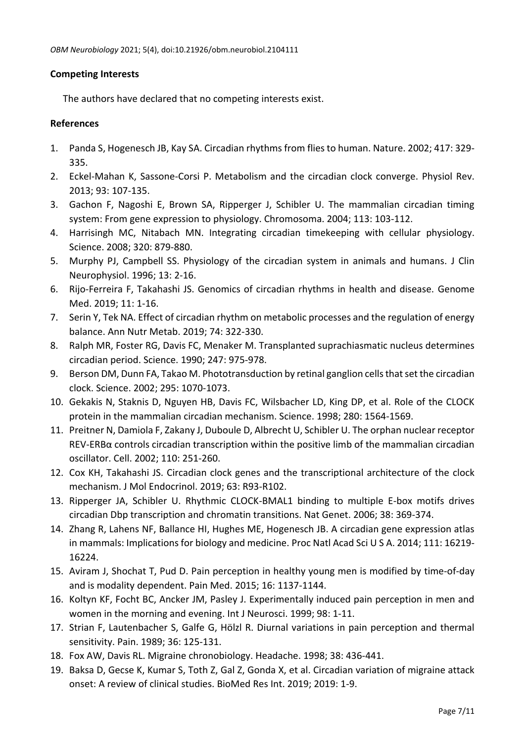# **Competing Interests**

The authors have declared that no competing interests exist.

# **References**

- 1. Panda S, Hogenesch JB, Kay SA. Circadian rhythms from flies to human. Nature. 2002; 417: 329- 335.
- 2. Eckel-Mahan K, Sassone-Corsi P. Metabolism and the circadian clock converge. Physiol Rev. 2013; 93: 107-135.
- 3. Gachon F, Nagoshi E, Brown SA, Ripperger J, Schibler U. The mammalian circadian timing system: From gene expression to physiology. Chromosoma. 2004; 113: 103-112.
- 4. Harrisingh MC, Nitabach MN. Integrating circadian timekeeping with cellular physiology. Science. 2008; 320: 879-880.
- 5. Murphy PJ, Campbell SS. Physiology of the circadian system in animals and humans. J Clin Neurophysiol. 1996; 13: 2-16.
- 6. Rijo-Ferreira F, Takahashi JS. Genomics of circadian rhythms in health and disease. Genome Med. 2019; 11: 1-16.
- 7. Serin Y, Tek NA. Effect of circadian rhythm on metabolic processes and the regulation of energy balance. Ann Nutr Metab. 2019; 74: 322-330.
- 8. Ralph MR, Foster RG, Davis FC, Menaker M. Transplanted suprachiasmatic nucleus determines circadian period. Science. 1990; 247: 975-978.
- 9. Berson DM, Dunn FA, Takao M. Phototransduction by retinal ganglion cells that set the circadian clock. Science. 2002; 295: 1070-1073.
- 10. Gekakis N, Staknis D, Nguyen HB, Davis FC, Wilsbacher LD, King DP, et al. Role of the CLOCK protein in the mammalian circadian mechanism. Science. 1998; 280: 1564-1569.
- 11. Preitner N, Damiola F, Zakany J, Duboule D, Albrecht U, Schibler U. The orphan nuclear receptor REV-ERBα controls circadian transcription within the positive limb of the mammalian circadian oscillator. Cell. 2002; 110: 251-260.
- 12. Cox KH, Takahashi JS. Circadian clock genes and the transcriptional architecture of the clock mechanism. J Mol Endocrinol. 2019; 63: R93-R102.
- 13. Ripperger JA, Schibler U. Rhythmic CLOCK-BMAL1 binding to multiple E-box motifs drives circadian Dbp transcription and chromatin transitions. Nat Genet. 2006; 38: 369-374.
- 14. Zhang R, Lahens NF, Ballance HI, Hughes ME, Hogenesch JB. A circadian gene expression atlas in mammals: Implications for biology and medicine. Proc Natl Acad Sci U S A. 2014; 111: 16219- 16224.
- 15. Aviram J, Shochat T, Pud D. Pain perception in healthy young men is modified by time-of-day and is modality dependent. Pain Med. 2015; 16: 1137-1144.
- 16. Koltyn KF, Focht BC, Ancker JM, Pasley J. Experimentally induced pain perception in men and women in the morning and evening. Int J Neurosci. 1999; 98: 1-11.
- 17. Strian F, Lautenbacher S, Galfe G, Hölzl R. Diurnal variations in pain perception and thermal sensitivity. Pain. 1989; 36: 125-131.
- 18. Fox AW, Davis RL. Migraine chronobiology. Headache. 1998; 38: 436-441.
- 19. Baksa D, Gecse K, Kumar S, Toth Z, Gal Z, Gonda X, et al. Circadian variation of migraine attack onset: A review of clinical studies. BioMed Res Int. 2019; 2019: 1-9.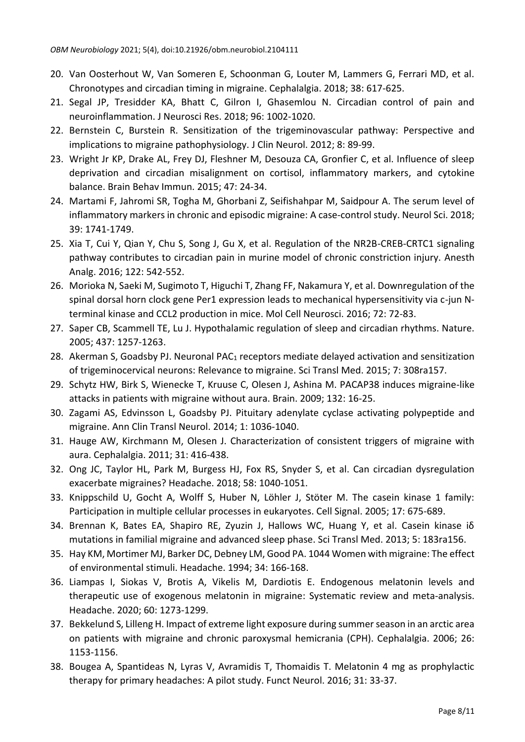- 20. Van Oosterhout W, Van Someren E, Schoonman G, Louter M, Lammers G, Ferrari MD, et al. Chronotypes and circadian timing in migraine. Cephalalgia. 2018; 38: 617-625.
- 21. Segal JP, Tresidder KA, Bhatt C, Gilron I, Ghasemlou N. Circadian control of pain and neuroinflammation. J Neurosci Res. 2018; 96: 1002-1020.
- 22. Bernstein C, Burstein R. Sensitization of the trigeminovascular pathway: Perspective and implications to migraine pathophysiology. J Clin Neurol. 2012; 8: 89-99.
- 23. Wright Jr KP, Drake AL, Frey DJ, Fleshner M, Desouza CA, Gronfier C, et al. Influence of sleep deprivation and circadian misalignment on cortisol, inflammatory markers, and cytokine balance. Brain Behav Immun. 2015; 47: 24-34.
- 24. Martami F, Jahromi SR, Togha M, Ghorbani Z, Seifishahpar M, Saidpour A. The serum level of inflammatory markers in chronic and episodic migraine: A case-control study. Neurol Sci. 2018; 39: 1741-1749.
- 25. Xia T, Cui Y, Qian Y, Chu S, Song J, Gu X, et al. Regulation of the NR2B-CREB-CRTC1 signaling pathway contributes to circadian pain in murine model of chronic constriction injury. Anesth Analg. 2016; 122: 542-552.
- 26. Morioka N, Saeki M, Sugimoto T, Higuchi T, Zhang FF, Nakamura Y, et al. Downregulation of the spinal dorsal horn clock gene Per1 expression leads to mechanical hypersensitivity via c-jun Nterminal kinase and CCL2 production in mice. Mol Cell Neurosci. 2016; 72: 72-83.
- 27. Saper CB, Scammell TE, Lu J. Hypothalamic regulation of sleep and circadian rhythms. Nature. 2005; 437: 1257-1263.
- 28. Akerman S, Goadsby PJ. Neuronal PAC<sub>1</sub> receptors mediate delayed activation and sensitization of trigeminocervical neurons: Relevance to migraine. Sci Transl Med. 2015; 7: 308ra157.
- 29. Schytz HW, Birk S, Wienecke T, Kruuse C, Olesen J, Ashina M. PACAP38 induces migraine-like attacks in patients with migraine without aura. Brain. 2009; 132: 16-25.
- 30. Zagami AS, Edvinsson L, Goadsby PJ. Pituitary adenylate cyclase activating polypeptide and migraine. Ann Clin Transl Neurol. 2014; 1: 1036-1040.
- 31. Hauge AW, Kirchmann M, Olesen J. Characterization of consistent triggers of migraine with aura. Cephalalgia. 2011; 31: 416-438.
- 32. Ong JC, Taylor HL, Park M, Burgess HJ, Fox RS, Snyder S, et al. Can circadian dysregulation exacerbate migraines? Headache. 2018; 58: 1040-1051.
- 33. Knippschild U, Gocht A, Wolff S, Huber N, Löhler J, Stöter M. The casein kinase 1 family: Participation in multiple cellular processes in eukaryotes. Cell Signal. 2005; 17: 675-689.
- 34. Brennan K, Bates EA, Shapiro RE, Zyuzin J, Hallows WC, Huang Y, et al. Casein kinase iδ mutations in familial migraine and advanced sleep phase. Sci Transl Med. 2013; 5: 183ra156.
- 35. Hay KM, Mortimer MJ, Barker DC, Debney LM, Good PA. 1044 Women with migraine: The effect of environmental stimuli. Headache. 1994; 34: 166-168.
- 36. Liampas I, Siokas V, Brotis A, Vikelis M, Dardiotis E. Endogenous melatonin levels and therapeutic use of exogenous melatonin in migraine: Systematic review and meta‐analysis. Headache. 2020; 60: 1273-1299.
- 37. Bekkelund S, Lilleng H. Impact of extreme light exposure during summer season in an arctic area on patients with migraine and chronic paroxysmal hemicrania (CPH). Cephalalgia. 2006; 26: 1153-1156.
- 38. Bougea A, Spantideas N, Lyras V, Avramidis T, Thomaidis T. Melatonin 4 mg as prophylactic therapy for primary headaches: A pilot study. Funct Neurol. 2016; 31: 33-37.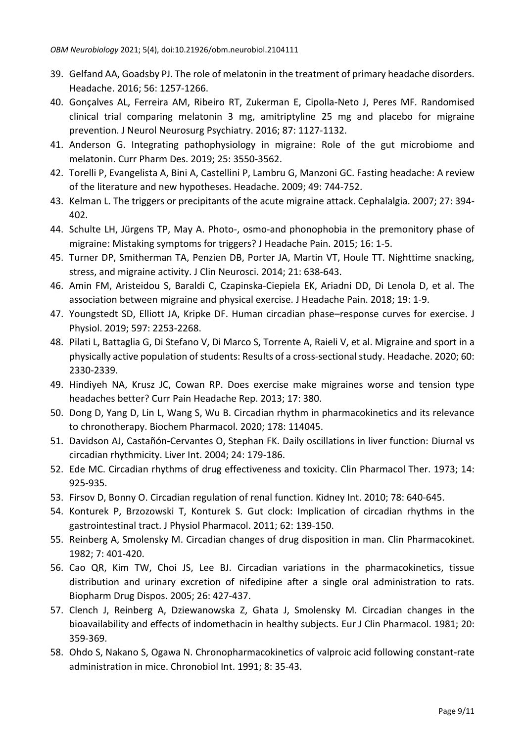- 39. Gelfand AA, Goadsby PJ. The role of melatonin in the treatment of primary headache disorders. Headache. 2016; 56: 1257-1266.
- 40. Gonçalves AL, Ferreira AM, Ribeiro RT, Zukerman E, Cipolla-Neto J, Peres MF. Randomised clinical trial comparing melatonin 3 mg, amitriptyline 25 mg and placebo for migraine prevention. J Neurol Neurosurg Psychiatry. 2016; 87: 1127-1132.
- 41. Anderson G. Integrating pathophysiology in migraine: Role of the gut microbiome and melatonin. Curr Pharm Des. 2019; 25: 3550-3562.
- 42. Torelli P, Evangelista A, Bini A, Castellini P, Lambru G, Manzoni GC. Fasting headache: A review of the literature and new hypotheses. Headache. 2009; 49: 744-752.
- 43. Kelman L. The triggers or precipitants of the acute migraine attack. Cephalalgia. 2007; 27: 394- 402.
- 44. Schulte LH, Jürgens TP, May A. Photo-, osmo-and phonophobia in the premonitory phase of migraine: Mistaking symptoms for triggers? J Headache Pain. 2015; 16: 1-5.
- 45. Turner DP, Smitherman TA, Penzien DB, Porter JA, Martin VT, Houle TT. Nighttime snacking, stress, and migraine activity. J Clin Neurosci. 2014; 21: 638-643.
- 46. Amin FM, Aristeidou S, Baraldi C, Czapinska-Ciepiela EK, Ariadni DD, Di Lenola D, et al. The association between migraine and physical exercise. J Headache Pain. 2018; 19: 1-9.
- 47. Youngstedt SD, Elliott JA, Kripke DF. Human circadian phase–response curves for exercise. J Physiol. 2019; 597: 2253-2268.
- 48. Pilati L, Battaglia G, Di Stefano V, Di Marco S, Torrente A, Raieli V, et al. Migraine and sport in a physically active population of students: Results of a cross‐sectional study. Headache. 2020; 60: 2330-2339.
- 49. Hindiyeh NA, Krusz JC, Cowan RP. Does exercise make migraines worse and tension type headaches better? Curr Pain Headache Rep. 2013; 17: 380.
- 50. Dong D, Yang D, Lin L, Wang S, Wu B. Circadian rhythm in pharmacokinetics and its relevance to chronotherapy. Biochem Pharmacol. 2020; 178: 114045.
- 51. Davidson AJ, Castañón‐Cervantes O, Stephan FK. Daily oscillations in liver function: Diurnal vs circadian rhythmicity. Liver Int. 2004; 24: 179-186.
- 52. Ede MC. Circadian rhythms of drug effectiveness and toxicity. Clin Pharmacol Ther. 1973; 14: 925-935.
- 53. Firsov D, Bonny O. Circadian regulation of renal function. Kidney Int. 2010; 78: 640-645.
- 54. Konturek P, Brzozowski T, Konturek S. Gut clock: Implication of circadian rhythms in the gastrointestinal tract. J Physiol Pharmacol. 2011; 62: 139-150.
- 55. Reinberg A, Smolensky M. Circadian changes of drug disposition in man. Clin Pharmacokinet. 1982; 7: 401-420.
- 56. Cao QR, Kim TW, Choi JS, Lee BJ. Circadian variations in the pharmacokinetics, tissue distribution and urinary excretion of nifedipine after a single oral administration to rats. Biopharm Drug Dispos. 2005; 26: 427-437.
- 57. Clench J, Reinberg A, Dziewanowska Z, Ghata J, Smolensky M. Circadian changes in the bioavailability and effects of indomethacin in healthy subjects. Eur J Clin Pharmacol. 1981; 20: 359-369.
- 58. Ohdo S, Nakano S, Ogawa N. Chronopharmacokinetics of valproic acid following constant-rate administration in mice. Chronobiol Int. 1991; 8: 35-43.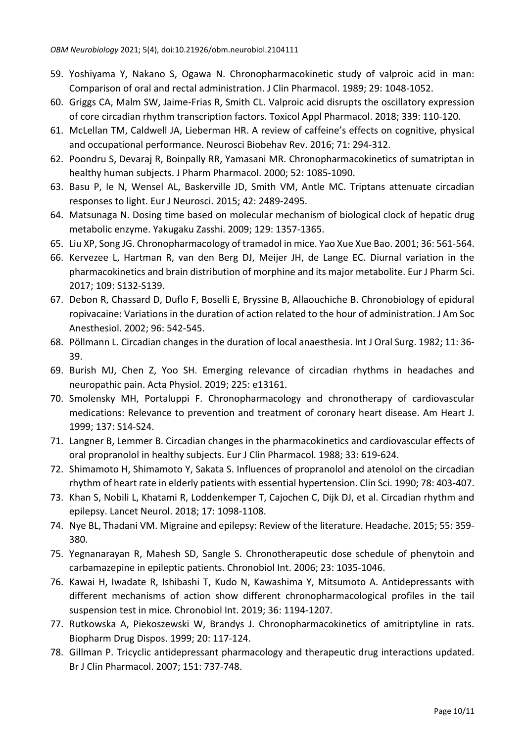- 59. Yoshiyama Y, Nakano S, Ogawa N. Chronopharmacokinetic study of valproic acid in man: Comparison of oral and rectal administration. J Clin Pharmacol. 1989; 29: 1048-1052.
- 60. Griggs CA, Malm SW, Jaime-Frias R, Smith CL. Valproic acid disrupts the oscillatory expression of core circadian rhythm transcription factors. Toxicol Appl Pharmacol. 2018; 339: 110-120.
- 61. McLellan TM, Caldwell JA, Lieberman HR. A review of caffeine's effects on cognitive, physical and occupational performance. Neurosci Biobehav Rev. 2016; 71: 294-312.
- 62. Poondru S, Devaraj R, Boinpally RR, Yamasani MR. Chronopharmacokinetics of sumatriptan in healthy human subjects. J Pharm Pharmacol. 2000; 52: 1085-1090.
- 63. Basu P, Ie N, Wensel AL, Baskerville JD, Smith VM, Antle MC. Triptans attenuate circadian responses to light. Eur J Neurosci. 2015; 42: 2489-2495.
- 64. Matsunaga N. Dosing time based on molecular mechanism of biological clock of hepatic drug metabolic enzyme. Yakugaku Zasshi. 2009; 129: 1357-1365.
- 65. Liu XP, Song JG. Chronopharmacology of tramadol in mice. Yao Xue Xue Bao. 2001; 36: 561-564.
- 66. Kervezee L, Hartman R, van den Berg DJ, Meijer JH, de Lange EC. Diurnal variation in the pharmacokinetics and brain distribution of morphine and its major metabolite. Eur J Pharm Sci. 2017; 109: S132-S139.
- 67. Debon R, Chassard D, Duflo F, Boselli E, Bryssine B, Allaouchiche B. Chronobiology of epidural ropivacaine: Variations in the duration of action related to the hour of administration. J Am Soc Anesthesiol. 2002; 96: 542-545.
- 68. Pöllmann L. Circadian changes in the duration of local anaesthesia. Int J Oral Surg. 1982; 11: 36- 39.
- 69. Burish MJ, Chen Z, Yoo SH. Emerging relevance of circadian rhythms in headaches and neuropathic pain. Acta Physiol. 2019; 225: e13161.
- 70. Smolensky MH, Portaluppi F. Chronopharmacology and chronotherapy of cardiovascular medications: Relevance to prevention and treatment of coronary heart disease. Am Heart J. 1999; 137: S14-S24.
- 71. Langner B, Lemmer B. Circadian changes in the pharmacokinetics and cardiovascular effects of oral propranolol in healthy subjects. Eur J Clin Pharmacol. 1988; 33: 619-624.
- 72. Shimamoto H, Shimamoto Y, Sakata S. Influences of propranolol and atenolol on the circadian rhythm of heart rate in elderly patients with essential hypertension. Clin Sci. 1990; 78: 403-407.
- 73. Khan S, Nobili L, Khatami R, Loddenkemper T, Cajochen C, Dijk DJ, et al. Circadian rhythm and epilepsy. Lancet Neurol. 2018; 17: 1098-1108.
- 74. Nye BL, Thadani VM. Migraine and epilepsy: Review of the literature. Headache. 2015; 55: 359- 380.
- 75. Yegnanarayan R, Mahesh SD, Sangle S. Chronotherapeutic dose schedule of phenytoin and carbamazepine in epileptic patients. Chronobiol Int. 2006; 23: 1035-1046.
- 76. Kawai H, Iwadate R, Ishibashi T, Kudo N, Kawashima Y, Mitsumoto A. Antidepressants with different mechanisms of action show different chronopharmacological profiles in the tail suspension test in mice. Chronobiol Int. 2019; 36: 1194-1207.
- 77. Rutkowska A, Piekoszewski W, Brandys J. Chronopharmacokinetics of amitriptyline in rats. Biopharm Drug Dispos. 1999; 20: 117-124.
- 78. Gillman P. Tricyclic antidepressant pharmacology and therapeutic drug interactions updated. Br J Clin Pharmacol. 2007; 151: 737-748.